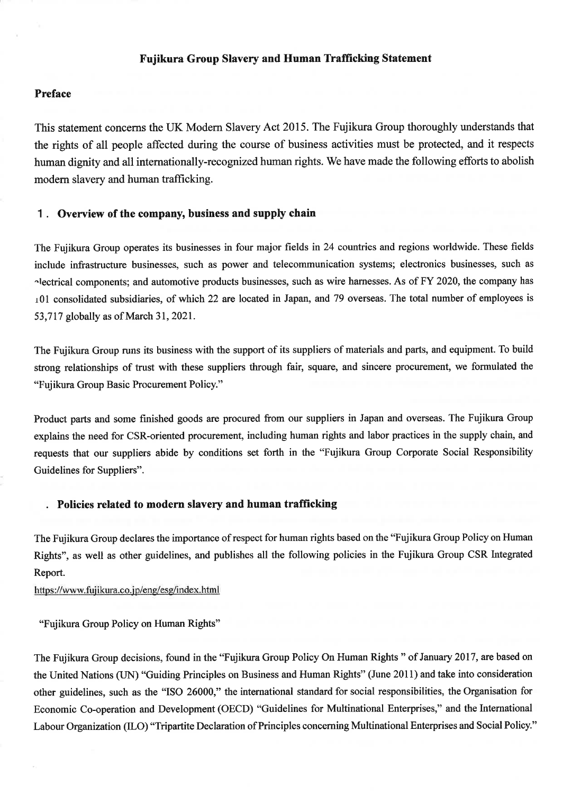# Fujikura Group Slavery and Human Trafficking Statement

# Preface

This statement concerns the UK Modern Slavery Act 2015. The Fujikura Group thoroughly understands that the rights of all people affected during the course of business activities must be protected, and it respects human dignity and all internationally-recognized human rights. We have made the following efforts to abolish modern slavery and human trafficking.

#### Overview of the company, business and supply chain  $1<sub>1</sub>$

The Fujikura Group operates its businesses in four major fields in 24 countries and regions worldwide. These fields include infrastructure businesses, such as power and telecommunication systems; electronics businesses, such as alectrical components; and automotive products businesses, such as wire harnesses. As of FY 2020, the company has 101 consolidated subsidiaries, of which 22 are located in Japan, and 79 overseas. The total number of employees is 53,717 globally as of March 31, 2021.

The Fujikura Group runs its business with the support of its suppliers of materials and parts, and equipment. To build strong relationships of trust with these suppliers through fair, square, and sincere procurement, we formulated the "Fujikura Group Basic Procurement Policy."

Product parts and some finished goods are procured from our suppliers in Japan and overseas. The Fujikura Group explains the need for CSR-oriented procurement, including human rights and labor practices in the supply chain, and requests that our suppliers abide by conditions set forth in the "Fujikura Group Corporate Social Responsibility Guidelines for Suppliers".

# Policies related to modern slavery and human trafficking

The Fujikura Group declares the importance of respect for human rights based on the "Fujikura Group Policy on Human" Rights", as well as other guidelines, and publishes all the following policies in the Fujikura Group CSR Integrated Report.

#### https://www.fujikura.co.jp/eng/esg/index.html

"Fujikura Group Policy on Human Rights"

The Fujikura Group decisions, found in the "Fujikura Group Policy On Human Rights" of January 2017, are based on the United Nations (UN) "Guiding Principles on Business and Human Rights" (June 2011) and take into consideration other guidelines, such as the "ISO 26000," the international standard for social responsibilities, the Organisation for Economic Co-operation and Development (OECD) "Guidelines for Multinational Enterprises," and the International Labour Organization (ILO) "Tripartite Declaration of Principles concerning Multinational Enterprises and Social Policy."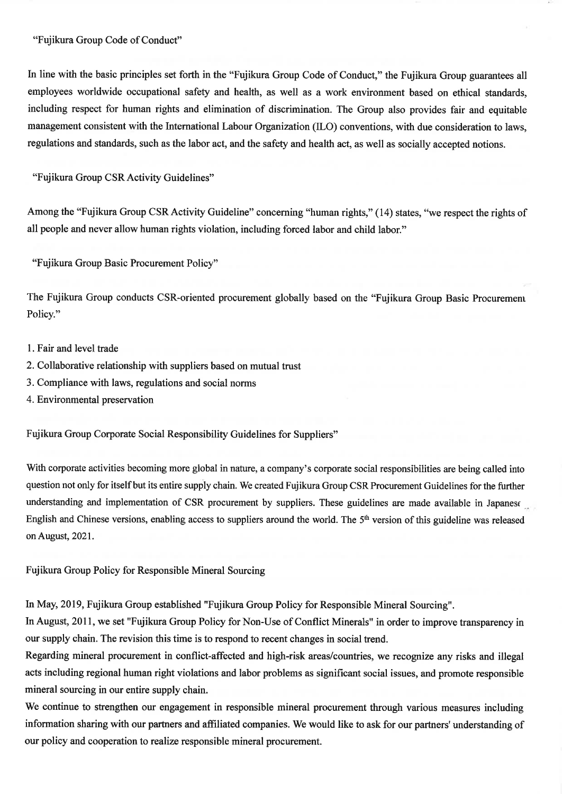### "Fujikura Group Code of Conduct"

In line with the basic principles set forth in the "Fujikura Group Code of Conduct," the Fujikura Group guarantees all employees worldwide occupational safety and health, as well as a work environment based on ethical standards, including respect for human rights and elimination of discrimination. The Group also provides fair and equitable management consistent with the International Labour Organization (ILO) conventions, with due consideration to laws, regulations and standards, such as the labor act, and the safety and health act, as well as socially accepted notions.

"Fujikura Group CSR Activity Guidelines"

Among the "Fujikura Group CSR Activity Guideline" concerning "human rights," (14) states, "we respect the rights of all people and never allow human rights violation, including forced labor and child labor."

"Fujikura Group Basic Procurement Policy"

The Fujikura Group conducts CSR-oriented procurement globally based on the "Fujikura Group Basic Procurement" Policy."

- 1. Fair and level trade
- 2. Collaborative relationship with suppliers based on mutual trust
- 3. Compliance with laws, regulations and social norms
- 4. Environmental preservation

Fujikura Group Corporate Social Responsibility Guidelines for Suppliers"

With corporate activities becoming more global in nature, a company's corporate social responsibilities are being called into question not only for itself but its entire supply chain. We created Fujikura Group CSR Procurement Guidelines for the further understanding and implementation of CSR procurement by suppliers. These guidelines are made available in Japanese English and Chinese versions, enabling access to suppliers around the world. The 5<sup>th</sup> version of this guideline was released on August, 2021.

Fujikura Group Policy for Responsible Mineral Sourcing

In May, 2019, Fujikura Group established "Fujikura Group Policy for Responsible Mineral Sourcing".

In August, 2011, we set "Fujikura Group Policy for Non-Use of Conflict Minerals" in order to improve transparency in our supply chain. The revision this time is to respond to recent changes in social trend.

Regarding mineral procurement in conflict-affected and high-risk areas/countries, we recognize any risks and illegal acts including regional human right violations and labor problems as significant social issues, and promote responsible mineral sourcing in our entire supply chain.

We continue to strengthen our engagement in responsible mineral procurement through various measures including information sharing with our partners and affiliated companies. We would like to ask for our partners' understanding of our policy and cooperation to realize responsible mineral procurement.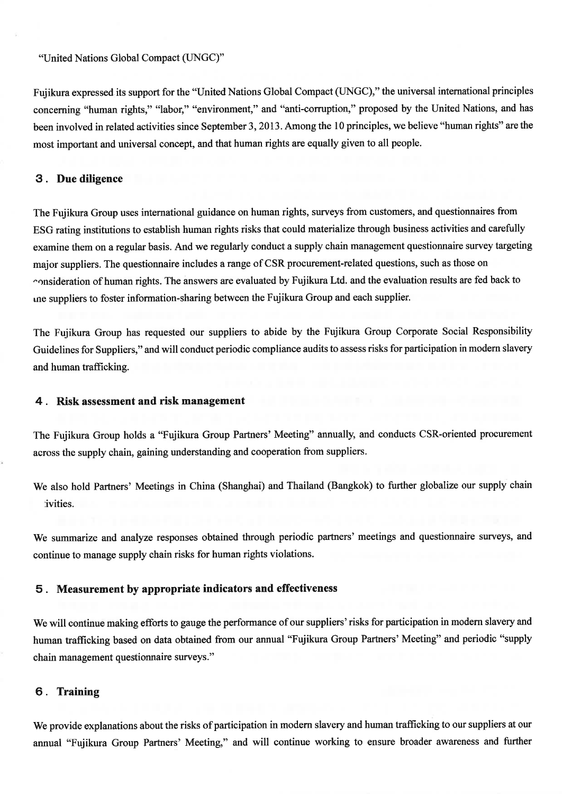## "United Nations Global Compact (UNGC)"

Fujikura expressed its support for the "United Nations Global Compact (UNGC)," the universal international principles concerning "human rights," "labor," "environment," and "anti-corruption," proposed by the United Nations, and has been involved in related activities since September 3, 2013. Among the 10 principles, we believe "human rights" are the most important and universal concept, and that human rights are equally given to all people.

# 3. Due diligence

The Fujikura Group uses international guidance on human rights, surveys from customers, and questionnaires from ESG rating institutions to establish human rights risks that could materialize through business activities and carefully examine them on a regular basis. And we regularly conduct a supply chain management questionnaire survey targeting major suppliers. The questionnaire includes a range of CSR procurement-related questions, such as those on consideration of human rights. The answers are evaluated by Fujikura Ltd. and the evaluation results are fed back to ine suppliers to foster information-sharing between the Fujikura Group and each supplier.

The Fujikura Group has requested our suppliers to abide by the Fujikura Group Corporate Social Responsibility Guidelines for Suppliers," and will conduct periodic compliance audits to assess risks for participation in modern slavery and human trafficking.

#### 4. Risk assessment and risk management

The Fujikura Group holds a "Fujikura Group Partners' Meeting" annually, and conducts CSR-oriented procurement across the supply chain, gaining understanding and cooperation from suppliers.

We also hold Partners' Meetings in China (Shanghai) and Thailand (Bangkok) to further globalize our supply chain ivities.

We summarize and analyze responses obtained through periodic partners' meetings and questionnaire surveys, and continue to manage supply chain risks for human rights violations.

## 5. Measurement by appropriate indicators and effectiveness

We will continue making efforts to gauge the performance of our suppliers' risks for participation in modern slavery and human trafficking based on data obtained from our annual "Fujikura Group Partners' Meeting" and periodic "supply chain management questionnaire surveys."

## 6. Training

We provide explanations about the risks of participation in modern slavery and human trafficking to our suppliers at our annual "Fujikura Group Partners' Meeting," and will continue working to ensure broader awareness and further